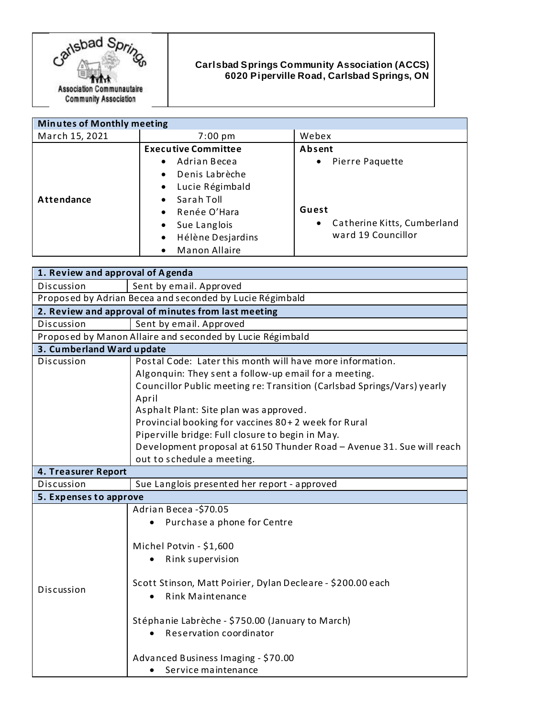

## **Carlsbad Springs Community Association (ACCS) 6020 Piperville Road, Carlsbad Springs, ON**

| <b>Minutes of Monthly meeting</b> |                                   |                                          |
|-----------------------------------|-----------------------------------|------------------------------------------|
| March 15, 2021                    | $7:00 \text{ pm}$                 | Webex                                    |
|                                   | <b>Executive Committee</b>        | Absent                                   |
|                                   | Adrian Becea<br>$\bullet$         | Pierre Paquette<br>$\bullet$             |
|                                   | Denis Labrèche<br>$\bullet$       |                                          |
|                                   | Lucie Régimbald<br>$\bullet$      |                                          |
| Attendance                        | Sarah Toll<br>$\bullet$           |                                          |
|                                   | Renée O'Hara<br>$\bullet$         | Guest                                    |
|                                   | Sue Langlois<br>$\bullet$         | Catherine Kitts, Cumberland<br>$\bullet$ |
|                                   | Hélène Desjardins<br>$\bullet$    | ward 19 Councillor                       |
|                                   | <b>Manon Allaire</b><br>$\bullet$ |                                          |

| 1. Review and approval of Agenda                          |                                                                                                                                                                                                                                                                                                                                                                                                                                                                    |  |
|-----------------------------------------------------------|--------------------------------------------------------------------------------------------------------------------------------------------------------------------------------------------------------------------------------------------------------------------------------------------------------------------------------------------------------------------------------------------------------------------------------------------------------------------|--|
| Discussion                                                | Sent by email. Approved                                                                                                                                                                                                                                                                                                                                                                                                                                            |  |
|                                                           | Proposed by Adrian Becea and seconded by Lucie Régimbald                                                                                                                                                                                                                                                                                                                                                                                                           |  |
| 2. Review and approval of minutes from last meeting       |                                                                                                                                                                                                                                                                                                                                                                                                                                                                    |  |
| Discussion                                                | Sent by email. Approved                                                                                                                                                                                                                                                                                                                                                                                                                                            |  |
| Proposed by Manon Allaire and seconded by Lucie Régimbald |                                                                                                                                                                                                                                                                                                                                                                                                                                                                    |  |
| 3. Cumberland Ward update                                 |                                                                                                                                                                                                                                                                                                                                                                                                                                                                    |  |
| Discussion                                                | Postal Code: Later this month will have more information.<br>Algonquin: They sent a follow-up email for a meeting.<br>Councillor Public meeting re: Transition (Carlsbad Springs/Vars) yearly<br>April<br>Asphalt Plant: Site plan was approved.<br>Provincial booking for vaccines 80+2 week for Rural<br>Piperville bridge: Full closure to begin in May.<br>Development proposal at 6150 Thunder Road - Avenue 31. Sue will reach<br>out to schedule a meeting. |  |
| 4. Treasurer Report                                       |                                                                                                                                                                                                                                                                                                                                                                                                                                                                    |  |
| Discussion                                                | Sue Langlois presented her report - approved                                                                                                                                                                                                                                                                                                                                                                                                                       |  |
| 5. Expenses to approve                                    |                                                                                                                                                                                                                                                                                                                                                                                                                                                                    |  |
| Discussion                                                | Adrian Becea-\$70.05<br>Purchase a phone for Centre<br>Michel Potvin - \$1,600<br>Rink supervision<br>Scott Stinson, Matt Poirier, Dylan Decleare - \$200.00 each<br><b>Rink Maintenance</b><br>Stéphanie Labrèche - \$750.00 (January to March)<br>Reservation coordinator<br>Advanced Business Imaging - \$70.00<br>Service maintenance                                                                                                                          |  |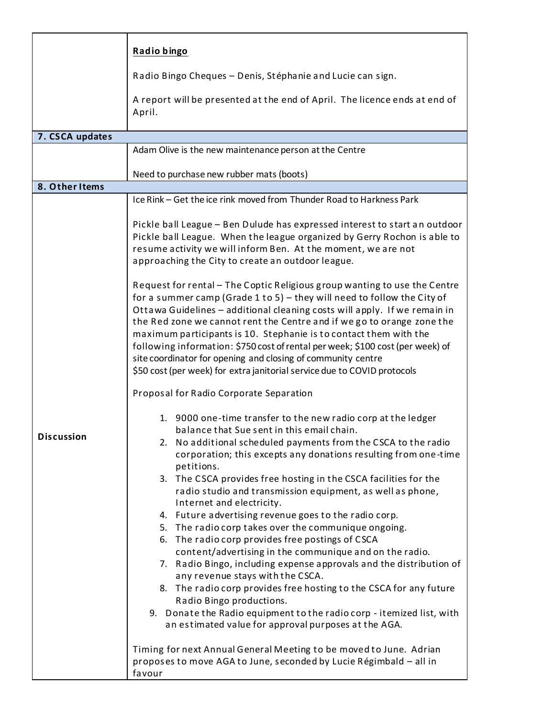|                   | Radio bingo                                                                                                                                                                                                                                                                                                                                                                                                                                                                                                                                                                                                      |  |
|-------------------|------------------------------------------------------------------------------------------------------------------------------------------------------------------------------------------------------------------------------------------------------------------------------------------------------------------------------------------------------------------------------------------------------------------------------------------------------------------------------------------------------------------------------------------------------------------------------------------------------------------|--|
|                   | Radio Bingo Cheques - Denis, Stéphanie and Lucie can sign.                                                                                                                                                                                                                                                                                                                                                                                                                                                                                                                                                       |  |
|                   | A report will be presented at the end of April. The licence ends at end of<br>April.                                                                                                                                                                                                                                                                                                                                                                                                                                                                                                                             |  |
| 7. CSCA updates   |                                                                                                                                                                                                                                                                                                                                                                                                                                                                                                                                                                                                                  |  |
|                   | Adam Olive is the new maintenance person at the Centre                                                                                                                                                                                                                                                                                                                                                                                                                                                                                                                                                           |  |
|                   |                                                                                                                                                                                                                                                                                                                                                                                                                                                                                                                                                                                                                  |  |
| 8. Other Items    | Need to purchase new rubber mats (boots)                                                                                                                                                                                                                                                                                                                                                                                                                                                                                                                                                                         |  |
|                   | Ice Rink - Get the ice rink moved from Thunder Road to Harkness Park                                                                                                                                                                                                                                                                                                                                                                                                                                                                                                                                             |  |
| <b>Discussion</b> | Pickle ball League - Ben Dulude has expressed interest to start an outdoor<br>Pickle ball League. When the league organized by Gerry Rochon is able to<br>resume activity we will inform Ben. At the moment, we are not<br>approaching the City to create an outdoor league.                                                                                                                                                                                                                                                                                                                                     |  |
|                   | Request for rental - The Coptic Religious group wanting to use the Centre<br>for a summer camp (Grade 1 to 5) $-$ they will need to follow the City of<br>Ottawa Guidelines - additional cleaning costs will apply. If we remain in<br>the Red zone we cannot rent the Centre and if we go to orange zone the<br>maximum participants is 10. Stephanie is to contact them with the<br>following information: \$750 cost of rental per week; \$100 cost (per week) of<br>site coordinator for opening and closing of community centre<br>\$50 cost (per week) for extra janitorial service due to COVID protocols |  |
|                   | Proposal for Radio Corporate Separation                                                                                                                                                                                                                                                                                                                                                                                                                                                                                                                                                                          |  |
|                   | 1. 9000 one-time transfer to the new radio corp at the ledger<br>balance that Sue sent in this email chain.<br>2. No additional scheduled payments from the CSCA to the radio<br>corporation; this excepts any donations resulting from one-time<br>petitions.<br>3. The CSCA provides free hosting in the CSCA facilities for the<br>radio studio and transmission equipment, as well as phone,<br>Internet and electricity.                                                                                                                                                                                    |  |
|                   | 4. Future advertising revenue goes to the radio corp.<br>5. The radio corp takes over the communique ongoing.<br>6. The radio corp provides free postings of CSCA<br>content/advertising in the communique and on the radio.<br>7. Radio Bingo, including expense approvals and the distribution of<br>any revenue stays with the CSCA.<br>8. The radio corp provides free hosting to the CSCA for any future<br>Radio Bingo productions.<br>9. Donate the Radio equipment to the radio corp - itemized list, with<br>an estimated value for approval purposes at the AGA.                                       |  |
|                   | Timing for next Annual General Meeting to be moved to June. Adrian<br>proposes to move AGA to June, seconded by Lucie Régimbald - all in<br>favour                                                                                                                                                                                                                                                                                                                                                                                                                                                               |  |